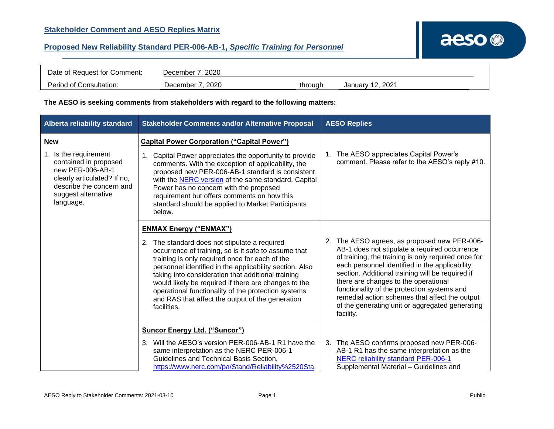| Date of Request for Comment: | December 7, 2020 |         |                  |
|------------------------------|------------------|---------|------------------|
| Period of Consultation:      | December 7, 2020 | throuah | January 12, 2021 |

## **The AESO is seeking comments from stakeholders with regard to the following matters:**

| Alberta reliability standard                                                                                                                                                    | <b>Stakeholder Comments and/or Alternative Proposal</b>                                                                                                                                                                                                                                                                                                                                                                                                                                     | <b>AESO Replies</b>                                                                                                                                                                                                                                                                                                                                                                                                                                                 |
|---------------------------------------------------------------------------------------------------------------------------------------------------------------------------------|---------------------------------------------------------------------------------------------------------------------------------------------------------------------------------------------------------------------------------------------------------------------------------------------------------------------------------------------------------------------------------------------------------------------------------------------------------------------------------------------|---------------------------------------------------------------------------------------------------------------------------------------------------------------------------------------------------------------------------------------------------------------------------------------------------------------------------------------------------------------------------------------------------------------------------------------------------------------------|
| <b>New</b><br>1. Is the requirement<br>contained in proposed<br>new PER-006-AB-1<br>clearly articulated? If no,<br>describe the concern and<br>suggest alternative<br>language. | <b>Capital Power Corporation ("Capital Power")</b><br>Capital Power appreciates the opportunity to provide<br>comments. With the exception of applicability, the<br>proposed new PER-006-AB-1 standard is consistent<br>with the <b>NERC</b> version of the same standard. Capital<br>Power has no concern with the proposed<br>requirement but offers comments on how this<br>standard should be applied to Market Participants<br>below.                                                  | 1. The AESO appreciates Capital Power's<br>comment. Please refer to the AESO's reply #10.                                                                                                                                                                                                                                                                                                                                                                           |
|                                                                                                                                                                                 | <b>ENMAX Energy ("ENMAX")</b><br>2. The standard does not stipulate a required<br>occurrence of training, so is it safe to assume that<br>training is only required once for each of the<br>personnel identified in the applicability section. Also<br>taking into consideration that additional training<br>would likely be required if there are changes to the<br>operational functionality of the protection systems<br>and RAS that affect the output of the generation<br>facilities. | 2. The AESO agrees, as proposed new PER-006-<br>AB-1 does not stipulate a required occurrence<br>of training, the training is only required once for<br>each personnel identified in the applicability<br>section. Additional training will be required if<br>there are changes to the operational<br>functionality of the protection systems and<br>remedial action schemes that affect the output<br>of the generating unit or aggregated generating<br>facility. |
|                                                                                                                                                                                 | <b>Suncor Energy Ltd. ("Suncor")</b><br>3. Will the AESO's version PER-006-AB-1 R1 have the<br>same interpretation as the NERC PER-006-1<br>Guidelines and Technical Basis Section,<br>https://www.nerc.com/pa/Stand/Reliability%2520Sta                                                                                                                                                                                                                                                    | 3. The AESO confirms proposed new PER-006-<br>AB-1 R1 has the same interpretation as the<br>NERC reliability standard PER-006-1<br>Supplemental Material - Guidelines and                                                                                                                                                                                                                                                                                           |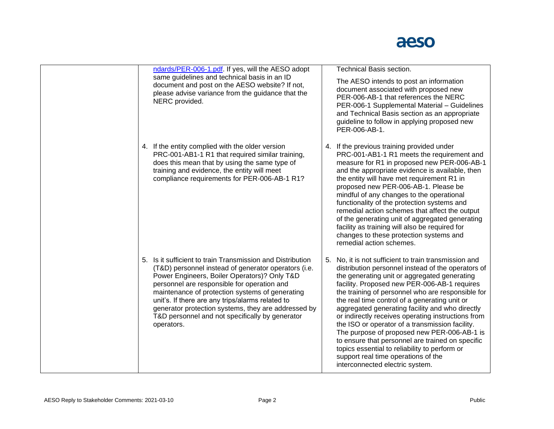

|  | ndards/PER-006-1.pdf. If yes, will the AESO adopt                                                                                                                                                                                                                                                                                                                                                                                                | Technical Basis section.                                                                                                                                                                                                                                                                                                                                                                                                                                                                                                                                                                                                                                                                                    |
|--|--------------------------------------------------------------------------------------------------------------------------------------------------------------------------------------------------------------------------------------------------------------------------------------------------------------------------------------------------------------------------------------------------------------------------------------------------|-------------------------------------------------------------------------------------------------------------------------------------------------------------------------------------------------------------------------------------------------------------------------------------------------------------------------------------------------------------------------------------------------------------------------------------------------------------------------------------------------------------------------------------------------------------------------------------------------------------------------------------------------------------------------------------------------------------|
|  | same guidelines and technical basis in an ID<br>document and post on the AESO website? If not,<br>please advise variance from the guidance that the<br>NERC provided.                                                                                                                                                                                                                                                                            | The AESO intends to post an information<br>document associated with proposed new<br>PER-006-AB-1 that references the NERC<br>PER-006-1 Supplemental Material - Guidelines<br>and Technical Basis section as an appropriate<br>guideline to follow in applying proposed new<br>PER-006-AB-1.                                                                                                                                                                                                                                                                                                                                                                                                                 |
|  | 4. If the entity complied with the older version<br>PRC-001-AB1-1 R1 that required similar training,<br>does this mean that by using the same type of<br>training and evidence, the entity will meet<br>compliance requirements for PER-006-AB-1 R1?                                                                                                                                                                                             | 4. If the previous training provided under<br>PRC-001-AB1-1 R1 meets the requirement and<br>measure for R1 in proposed new PER-006-AB-1<br>and the appropriate evidence is available, then<br>the entity will have met requirement R1 in<br>proposed new PER-006-AB-1. Please be<br>mindful of any changes to the operational<br>functionality of the protection systems and<br>remedial action schemes that affect the output<br>of the generating unit of aggregated generating<br>facility as training will also be required for<br>changes to these protection systems and<br>remedial action schemes.                                                                                                  |
|  | 5. Is it sufficient to train Transmission and Distribution<br>(T&D) personnel instead of generator operators (i.e.<br>Power Engineers, Boiler Operators)? Only T&D<br>personnel are responsible for operation and<br>maintenance of protection systems of generating<br>unit's. If there are any trips/alarms related to<br>generator protection systems, they are addressed by<br>T&D personnel and not specifically by generator<br>operators. | 5. No, it is not sufficient to train transmission and<br>distribution personnel instead of the operators of<br>the generating unit or aggregated generating<br>facility. Proposed new PER-006-AB-1 requires<br>the training of personnel who are responsible for<br>the real time control of a generating unit or<br>aggregated generating facility and who directly<br>or indirectly receives operating instructions from<br>the ISO or operator of a transmission facility.<br>The purpose of proposed new PER-006-AB-1 is<br>to ensure that personnel are trained on specific<br>topics essential to reliability to perform or<br>support real time operations of the<br>interconnected electric system. |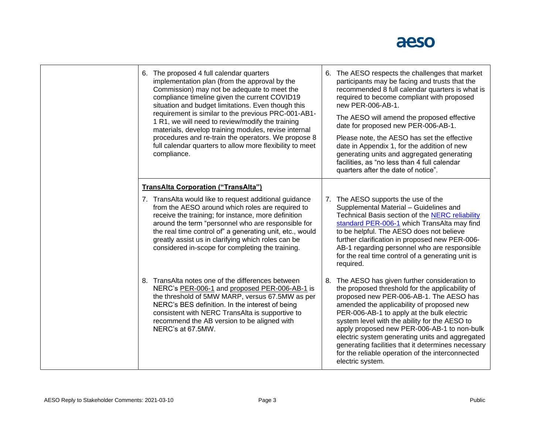

| 6. The proposed 4 full calendar quarters<br>implementation plan (from the approval by the<br>Commission) may not be adequate to meet the<br>compliance timeline given the current COVID19<br>situation and budget limitations. Even though this<br>requirement is similar to the previous PRC-001-AB1-<br>1 R1, we will need to review/modify the training<br>materials, develop training modules, revise internal<br>procedures and re-train the operators. We propose 8<br>full calendar quarters to allow more flexibility to meet<br>compliance. | 6. The AESO respects the challenges that market<br>participants may be facing and trusts that the<br>recommended 8 full calendar quarters is what is<br>required to become compliant with proposed<br>new PER-006-AB-1.<br>The AESO will amend the proposed effective<br>date for proposed new PER-006-AB-1.<br>Please note, the AESO has set the effective<br>date in Appendix 1, for the addition of new<br>generating units and aggregated generating<br>facilities, as "no less than 4 full calendar<br>quarters after the date of notice". |
|------------------------------------------------------------------------------------------------------------------------------------------------------------------------------------------------------------------------------------------------------------------------------------------------------------------------------------------------------------------------------------------------------------------------------------------------------------------------------------------------------------------------------------------------------|-------------------------------------------------------------------------------------------------------------------------------------------------------------------------------------------------------------------------------------------------------------------------------------------------------------------------------------------------------------------------------------------------------------------------------------------------------------------------------------------------------------------------------------------------|
| <b>TransAlta Corporation ("TransAlta")</b><br>7. TransAlta would like to request additional guidance<br>from the AESO around which roles are required to<br>receive the training; for instance, more definition<br>around the term "personnel who are responsible for<br>the real time control of" a generating unit, etc., would<br>greatly assist us in clarifying which roles can be<br>considered in-scope for completing the training.                                                                                                          | 7. The AESO supports the use of the<br>Supplemental Material - Guidelines and<br>Technical Basis section of the NERC reliability<br>standard PER-006-1 which TransAlta may find<br>to be helpful. The AESO does not believe<br>further clarification in proposed new PER-006-<br>AB-1 regarding personnel who are responsible<br>for the real time control of a generating unit is<br>required.                                                                                                                                                 |
| 8. TransAlta notes one of the differences between<br>NERC's PER-006-1 and proposed PER-006-AB-1 is<br>the threshold of 5MW MARP, versus 67.5MW as per<br>NERC's BES definition. In the interest of being<br>consistent with NERC TransAlta is supportive to<br>recommend the AB version to be aligned with<br>NERC's at 67.5MW.                                                                                                                                                                                                                      | The AESO has given further consideration to<br>8.<br>the proposed threshold for the applicability of<br>proposed new PER-006-AB-1. The AESO has<br>amended the applicability of proposed new<br>PER-006-AB-1 to apply at the bulk electric<br>system level with the ability for the AESO to<br>apply proposed new PER-006-AB-1 to non-bulk<br>electric system generating units and aggregated<br>generating facilities that it determines necessary<br>for the reliable operation of the interconnected<br>electric system.                     |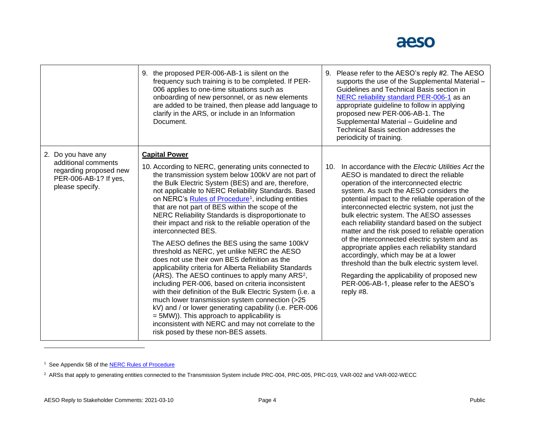

|                                                                                                                 | 9. the proposed PER-006-AB-1 is silent on the<br>frequency such training is to be completed. If PER-<br>006 applies to one-time situations such as<br>onboarding of new personnel, or as new elements<br>are added to be trained, then please add language to<br>clarify in the ARS, or include in an Information<br>Document.                                                                                                                                                                                                                                                                                                                                                                                                                                                                                                                                                                                                                                                                                                                                                                                                                                   | 9. Please refer to the AESO's reply #2. The AESO<br>supports the use of the Supplemental Material -<br>Guidelines and Technical Basis section in<br>NERC reliability standard PER-006-1 as an<br>appropriate guideline to follow in applying<br>proposed new PER-006-AB-1. The<br>Supplemental Material - Guideline and<br>Technical Basis section addresses the                                                                                                                                                                                                                                                                                                                                                                                  |
|-----------------------------------------------------------------------------------------------------------------|------------------------------------------------------------------------------------------------------------------------------------------------------------------------------------------------------------------------------------------------------------------------------------------------------------------------------------------------------------------------------------------------------------------------------------------------------------------------------------------------------------------------------------------------------------------------------------------------------------------------------------------------------------------------------------------------------------------------------------------------------------------------------------------------------------------------------------------------------------------------------------------------------------------------------------------------------------------------------------------------------------------------------------------------------------------------------------------------------------------------------------------------------------------|---------------------------------------------------------------------------------------------------------------------------------------------------------------------------------------------------------------------------------------------------------------------------------------------------------------------------------------------------------------------------------------------------------------------------------------------------------------------------------------------------------------------------------------------------------------------------------------------------------------------------------------------------------------------------------------------------------------------------------------------------|
|                                                                                                                 |                                                                                                                                                                                                                                                                                                                                                                                                                                                                                                                                                                                                                                                                                                                                                                                                                                                                                                                                                                                                                                                                                                                                                                  | periodicity of training.                                                                                                                                                                                                                                                                                                                                                                                                                                                                                                                                                                                                                                                                                                                          |
| 2. Do you have any<br>additional comments<br>regarding proposed new<br>PER-006-AB-1? If yes,<br>please specify. | <b>Capital Power</b><br>10. According to NERC, generating units connected to<br>the transmission system below 100kV are not part of<br>the Bulk Electric System (BES) and are, therefore,<br>not applicable to NERC Reliability Standards. Based<br>on NERC's Rules of Procedure <sup>1</sup> , including entities<br>that are not part of BES within the scope of the<br>NERC Reliability Standards is disproportionate to<br>their impact and risk to the reliable operation of the<br>interconnected BES.<br>The AESO defines the BES using the same 100kV<br>threshold as NERC, yet unlike NERC the AESO<br>does not use their own BES definition as the<br>applicability criteria for Alberta Reliability Standards<br>(ARS). The AESO continues to apply many ARS <sup>2</sup> ,<br>including PER-006, based on criteria inconsistent<br>with their definition of the Bulk Electric System (i.e. a<br>much lower transmission system connection (>25<br>kV) and / or lower generating capability (i.e. PER-006<br>= 5MW)). This approach to applicability is<br>inconsistent with NERC and may not correlate to the<br>risk posed by these non-BES assets. | In accordance with the Electric Utilities Act the<br>10.<br>AESO is mandated to direct the reliable<br>operation of the interconnected electric<br>system. As such the AESO considers the<br>potential impact to the reliable operation of the<br>interconnected electric system, not just the<br>bulk electric system. The AESO assesses<br>each reliability standard based on the subject<br>matter and the risk posed to reliable operation<br>of the interconnected electric system and as<br>appropriate applies each reliability standard<br>accordingly, which may be at a lower<br>threshold than the bulk electric system level.<br>Regarding the applicability of proposed new<br>PER-006-AB-1, please refer to the AESO's<br>reply #8. |

<sup>1</sup> See Appendix 5B of the **NERC Rules of Procedure** 

<sup>2</sup> ARSs that apply to generating entities connected to the Transmission System include PRC-004, PRC-005, PRC-019, VAR-002 and VAR-002-WECC